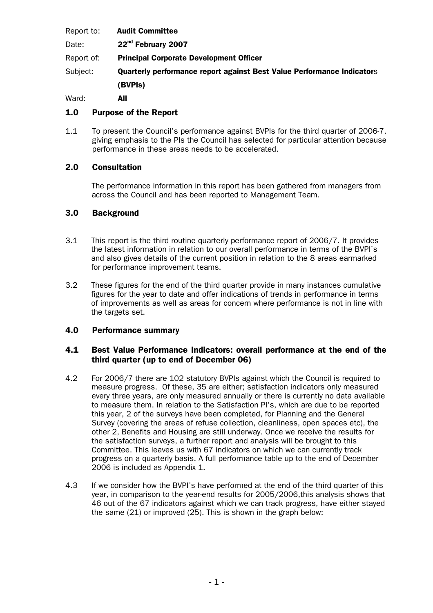| Report to: |  | <b>Audit Committee</b> |
|------------|--|------------------------|
|------------|--|------------------------|

- Date: 22<sup>nd</sup> February 2007
- Report of: Principal Corporate Development Officer
- Subject: Quarterly performance report against Best Value Performance Indicators (BVPIs)

Ward: **All** 

# 1.0 Purpose of the Report

1.1 To present the Council's performance against BVPIs for the third quarter of 2006-7, giving emphasis to the PIs the Council has selected for particular attention because performance in these areas needs to be accelerated.

# 2.0 Consultation

The performance information in this report has been gathered from managers from across the Council and has been reported to Management Team.

# 3.0 Background

- 3.1 This report is the third routine quarterly performance report of 2006/7. It provides the latest information in relation to our overall performance in terms of the BVPI's and also gives details of the current position in relation to the 8 areas earmarked for performance improvement teams.
- 3.2 These figures for the end of the third quarter provide in many instances cumulative figures for the year to date and offer indications of trends in performance in terms of improvements as well as areas for concern where performance is not in line with the targets set.

# 4.0 Performance summary

#### 4.1 Best Value Performance Indicators: overall performance at the end of the third quarter (up to end of December 06)

- 4.2 For 2006/7 there are 102 statutory BVPIs against which the Council is required to measure progress. Of these, 35 are either; satisfaction indicators only measured every three years, are only measured annually or there is currently no data available to measure them. In relation to the Satisfaction PI's, which are due to be reported this year, 2 of the surveys have been completed, for Planning and the General Survey (covering the areas of refuse collection, cleanliness, open spaces etc), the other 2, Benefits and Housing are still underway. Once we receive the results for the satisfaction surveys, a further report and analysis will be brought to this Committee. This leaves us with 67 indicators on which we can currently track progress on a quarterly basis. A full performance table up to the end of December 2006 is included as Appendix 1.
- 4.3 If we consider how the BVPI's have performed at the end of the third quarter of this year, in comparison to the year-end results for 2005/2006,this analysis shows that 46 out of the 67 indicators against which we can track progress, have either stayed the same (21) or improved (25). This is shown in the graph below: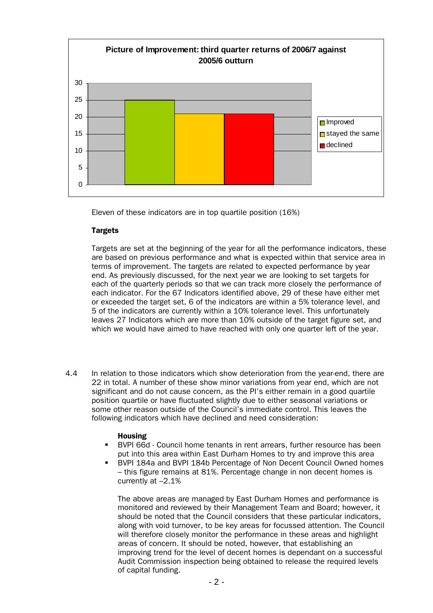

Eleven of these indicators are in top quartile position (16%)

#### **Targets**

Targets are set at the beginning of the year for all the performance indicators, these are based on previous performance and what is expected within that service area in terms of improvement. The targets are related to expected performance by year end. As previously discussed, for the next year we are looking to set targets for each of the quarterly periods so that we can track more closely the performance of each indicator. For the 67 Indicators identified above, 29 of these have either met or exceeded the target set, 6 of the indicators are within a 5% tolerance level, and 5 of the indicators are currently within a 10% tolerance level. This unfortunately leaves 27 Indicators which are more than 10% outside of the target figure set, and which we would have aimed to have reached with only one quarter left of the year.

4.4 In relation to those indicators which show deterioration from the year-end, there are 22 in total. A number of these show minor variations from year end, which are not significant and do not cause concern, as the PI's either remain in a good quartile position quartile or have fluctuated slightly due to either seasonal variations or some other reason outside of the Council's immediate control. This leaves the following indicators which have declined and need consideration:

#### Housing

- BVPI 66d Council home tenants in rent arrears, further resource has been put into this area within East Durham Homes to try and improve this area
- BVPI 184a and BVPI 184b Percentage of Non Decent Council Owned homes – this figure remains at 81%. Percentage change in non decent homes is currently at –2.1%

The above areas are managed by East Durham Homes and performance is monitored and reviewed by their Management Team and Board; however, it should be noted that the Council considers that these particular indicators, along with void turnover, to be key areas for focussed attention. The Council will therefore closely monitor the performance in these areas and highlight areas of concern. It should be noted, however, that establishing an improving trend for the level of decent homes is dependant on a successful Audit Commission inspection being obtained to release the required levels of capital funding.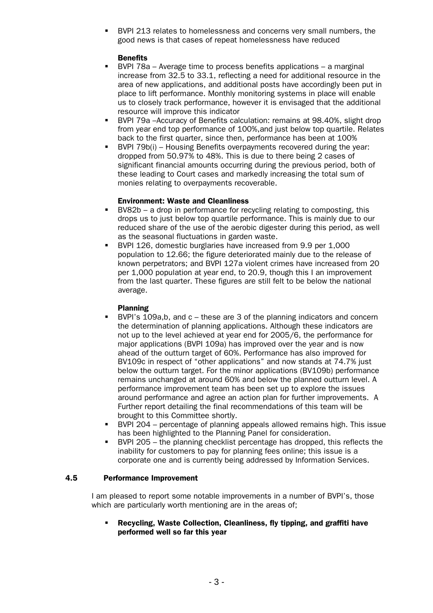BVPI 213 relates to homelessness and concerns very small numbers, the good news is that cases of repeat homelessness have reduced

#### **Benefits**

- BVPI 78a Average time to process benefits applications a marginal increase from 32.5 to 33.1, reflecting a need for additional resource in the area of new applications, and additional posts have accordingly been put in place to lift performance. Monthly monitoring systems in place will enable us to closely track performance, however it is envisaged that the additional resource will improve this indicator
- BVPI 79a –Accuracy of Benefits calculation: remains at 98.40%, slight drop from year end top performance of 100%,and just below top quartile. Relates back to the first quarter, since then, performance has been at 100%
- BVPI 79b(i) Housing Benefits overpayments recovered during the year: dropped from 50.97% to 48%. This is due to there being 2 cases of significant financial amounts occurring during the previous period, both of these leading to Court cases and markedly increasing the total sum of monies relating to overpayments recoverable.

#### Environment: Waste and Cleanliness

- BV82b a drop in performance for recycling relating to composting, this drops us to just below top quartile performance. This is mainly due to our reduced share of the use of the aerobic digester during this period, as well as the seasonal fluctuations in garden waste.
- BVPI 126, domestic burglaries have increased from 9.9 per 1,000 population to 12.66; the figure deteriorated mainly due to the release of known perpetrators; and BVPI 127a violent crimes have increased from 20 per 1,000 population at year end, to 20.9, though this I an improvement from the last quarter. These figures are still felt to be below the national average.

#### Planning

- BVPI's 109a,b, and c these are 3 of the planning indicators and concern the determination of planning applications. Although these indicators are not up to the level achieved at year end for 2005/6, the performance for major applications (BVPI 109a) has improved over the year and is now ahead of the outturn target of 60%. Performance has also improved for BV109c in respect of "other applications" and now stands at 74.7% just below the outturn target. For the minor applications (BV109b) performance remains unchanged at around 60% and below the planned outturn level. A performance improvement team has been set up to explore the issues around performance and agree an action plan for further improvements. A Further report detailing the final recommendations of this team will be brought to this Committee shortly.
- BVPI 204 percentage of planning appeals allowed remains high. This issue has been highlighted to the Planning Panel for consideration.
- BVPI 205 the planning checklist percentage has dropped, this reflects the inability for customers to pay for planning fees online; this issue is a corporate one and is currently being addressed by Information Services.

#### 4.5 Performance Improvement

I am pleased to report some notable improvements in a number of BVPI's, those which are particularly worth mentioning are in the areas of;

 Recycling, Waste Collection, Cleanliness, fly tipping, and graffiti have performed well so far this year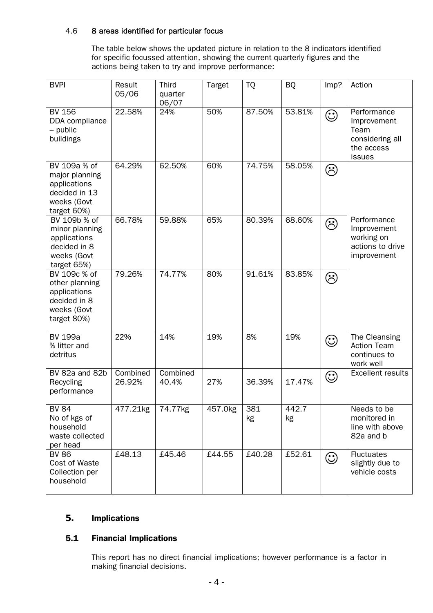#### 4.6 8 areas identified for particular focus

The table below shows the updated picture in relation to the 8 indicators identified for specific focussed attention, showing the current quarterly figures and the actions being taken to try and improve performance:

| <b>BVPI</b>                                                                                   | Result<br>05/06    | <b>Third</b><br>quarter<br>06/07 | <b>Target</b> | <b>TQ</b> | <b>BQ</b>   | Imp?    | Action                                                                        |
|-----------------------------------------------------------------------------------------------|--------------------|----------------------------------|---------------|-----------|-------------|---------|-------------------------------------------------------------------------------|
| <b>BV 156</b><br>DDA compliance<br>$-$ public<br>buildings                                    | 22.58%             | 24%                              | 50%           | 87.50%    | 53.81%      | $\odot$ | Performance<br>Improvement<br>Team<br>considering all<br>the access<br>issues |
| BV 109a % of<br>major planning<br>applications<br>decided in 13<br>weeks (Govt<br>target 60%) | 64.29%             | 62.50%                           | 60%           | 74.75%    | 58.05%      | $\odot$ |                                                                               |
| BV 109b % of<br>minor planning<br>applications<br>decided in 8<br>weeks (Govt<br>target 65%)  | 66.78%             | 59.88%                           | 65%           | 80.39%    | 68.60%      | $\odot$ | Performance<br>Improvement<br>working on<br>actions to drive<br>improvement   |
| BV 109c % of<br>other planning<br>applications<br>decided in 8<br>weeks (Govt<br>target 80%)  | 79.26%             | 74.77%                           | 80%           | 91.61%    | 83.85%      | $\odot$ |                                                                               |
| <b>BV 199a</b><br>% litter and<br>detritus                                                    | 22%                | 14%                              | 19%           | 8%        | 19%         | $\odot$ | The Cleansing<br><b>Action Team</b><br>continues to<br>work well              |
| BV 82a and 82b<br>Recycling<br>performance                                                    | Combined<br>26.92% | Combined<br>40.4%                | 27%           | 36.39%    | 17.47%      | $\odot$ | <b>Excellent results</b>                                                      |
| <b>BV 84</b><br>No of kgs of<br>household<br>waste collected<br>per head                      | 477.21kg           | 74.77kg                          | 457.0kg       | 381<br>kg | 442.7<br>kg |         | Needs to be<br>monitored in<br>line with above<br>82a and b                   |
| <b>BV 86</b><br>Cost of Waste<br>Collection per<br>household                                  | £48.13             | £45.46                           | £44.55        | £40.28    | £52.61      | $\odot$ | <b>Fluctuates</b><br>slightly due to<br>vehicle costs                         |

# **5.** Implications

# 5.1 Financial Implications

This report has no direct financial implications; however performance is a factor in making financial decisions.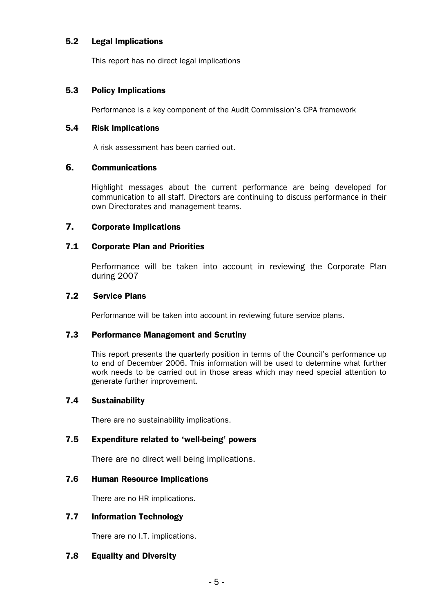#### 5.2 Legal Implications

This report has no direct legal implications

# 5.3 Policy Implications

Performance is a key component of the Audit Commission's CPA framework

# 5.4 Risk Implications

A risk assessment has been carried out.

#### **6.** Communications

Highlight messages about the current performance are being developed for communication to all staff. Directors are continuing to discuss performance in their own Directorates and management teams.

# **7.** Corporate Implications

# 7.1 Corporate Plan and Priorities

Performance will be taken into account in reviewing the Corporate Plan during 2007

#### 7.2 Service Plans

Performance will be taken into account in reviewing future service plans.

#### 7.3 Performance Management and Scrutiny

This report presents the quarterly position in terms of the Council's performance up to end of December 2006. This information will be used to determine what further work needs to be carried out in those areas which may need special attention to generate further improvement.

# 7.4 Sustainability

There are no sustainability implications.

# 7.5 Expenditure related to 'well-being' powers

There are no direct well being implications.

#### 7.6 Human Resource Implications

There are no HR implications.

# 7.7 Information Technology

There are no I.T. implications.

# 7.8 Equality and Diversity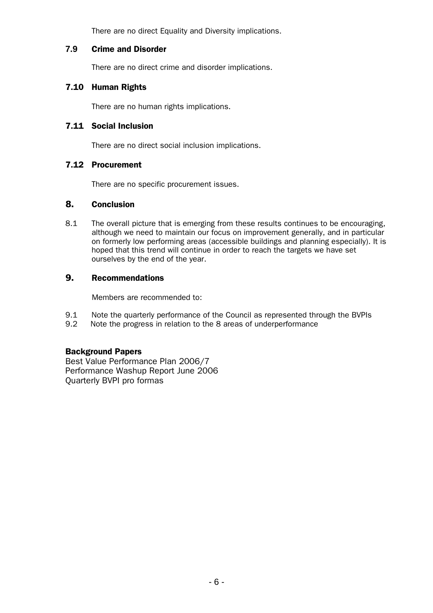There are no direct Equality and Diversity implications.

#### **7.9** Crime and Disorder

There are no direct crime and disorder implications.

# 7.10 Human Rights

There are no human rights implications.

#### 7.11 Social Inclusion

There are no direct social inclusion implications.

# 7.12 Procurement

There are no specific procurement issues.

#### **8.** Conclusion

8.1 The overall picture that is emerging from these results continues to be encouraging, although we need to maintain our focus on improvement generally, and in particular on formerly low performing areas (accessible buildings and planning especially). It is hoped that this trend will continue in order to reach the targets we have set ourselves by the end of the year.

#### **9.** Recommendations

Members are recommended to:

- 9.1 Note the quarterly performance of the Council as represented through the BVPIs
- 9.2 Note the progress in relation to the 8 areas of underperformance

# Background Papers

Best Value Performance Plan 2006/7 Performance Washup Report June 2006 Quarterly BVPI pro formas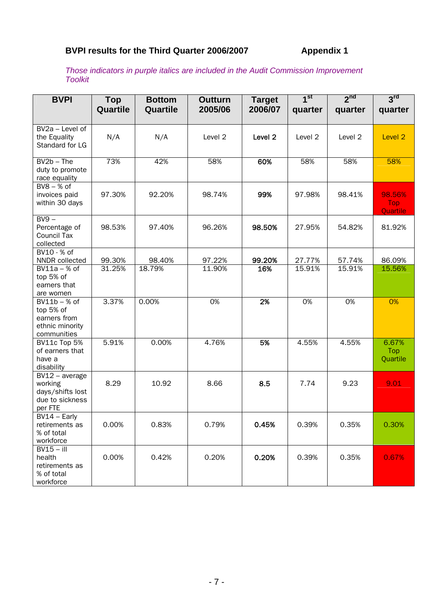# BVPI results for the Third Quarter 2006/2007 **Appendix 1**

*Those indicators in purple italics are included in the Audit Commission Improvement Toolkit* 

| <b>BVPI</b>                            | <b>Top</b>       | <b>Bottom</b>    | <b>Outturn</b>   | <b>Target</b>      | 1 <sup>st</sup>  | 2 <sup>nd</sup>  | 3 <sup>rd</sup>        |
|----------------------------------------|------------------|------------------|------------------|--------------------|------------------|------------------|------------------------|
|                                        | Quartile         | Quartile         | 2005/06          | 2006/07            | quarter          | quarter          | quarter                |
|                                        |                  |                  |                  |                    |                  |                  |                        |
| BV2a - Level of                        |                  |                  |                  |                    |                  |                  |                        |
| the Equality<br>Standard for LG        | N/A              | N/A              | Level 2          | Level <sub>2</sub> | Level 2          | Level 2          | Level <sub>2</sub>     |
|                                        |                  |                  |                  |                    |                  |                  |                        |
| $BV2b$ – The                           | 73%              | 42%              | 58%              | 60%                | 58%              | 58%              | 58%                    |
| duty to promote                        |                  |                  |                  |                    |                  |                  |                        |
| race equality                          |                  |                  |                  |                    |                  |                  |                        |
| $BVB - % of$                           |                  |                  |                  |                    |                  |                  |                        |
| invoices paid                          | 97.30%           | 92.20%           | 98.74%           | 99%                | 97.98%           | 98.41%           | 98.56%                 |
| within 30 days                         |                  |                  |                  |                    |                  |                  | <b>Top</b><br>Quartile |
| $BV9 -$                                |                  |                  |                  |                    |                  |                  |                        |
| Percentage of                          | 98.53%           | 97.40%           | 96.26%           | 98.50%             | 27.95%           | 54.82%           | 81.92%                 |
| <b>Council Tax</b>                     |                  |                  |                  |                    |                  |                  |                        |
| collected                              |                  |                  |                  |                    |                  |                  |                        |
| $BV10 - %$ of                          |                  |                  |                  |                    |                  |                  |                        |
| NNDR collected<br>$BV11a - % of$       | 99.30%<br>31.25% | 98.40%<br>18.79% | 97.22%<br>11.90% | 99.20%<br>16%      | 27.77%<br>15.91% | 57.74%<br>15.91% | 86.09%<br>15.56%       |
| top 5% of                              |                  |                  |                  |                    |                  |                  |                        |
| earners that                           |                  |                  |                  |                    |                  |                  |                        |
| are women                              |                  |                  |                  |                    |                  |                  |                        |
| $BV11b - % of$                         | 3.37%            | 0.00%            | 0%               | 2%                 | 0%               | 0%               | 0%                     |
| top 5% of                              |                  |                  |                  |                    |                  |                  |                        |
| earners from                           |                  |                  |                  |                    |                  |                  |                        |
| ethnic minority                        |                  |                  |                  |                    |                  |                  |                        |
| communities                            |                  |                  |                  |                    |                  |                  |                        |
| BV11c Top 5%                           | 5.91%            | 0.00%            | 4.76%            | 5%                 | 4.55%            | 4.55%            | 6.67%                  |
| of earners that                        |                  |                  |                  |                    |                  |                  | Top                    |
| have a                                 |                  |                  |                  |                    |                  |                  | Quartile               |
| disability                             |                  |                  |                  |                    |                  |                  |                        |
| $\overline{BV}12$ – average<br>working | 8.29             | 10.92            | 8.66             | 8.5                | 7.74             | 9.23             | 9.01                   |
| days/shifts lost                       |                  |                  |                  |                    |                  |                  |                        |
| due to sickness                        |                  |                  |                  |                    |                  |                  |                        |
| per FTE                                |                  |                  |                  |                    |                  |                  |                        |
| $\overline{BV14}$ – Early              |                  |                  |                  |                    |                  |                  |                        |
| retirements as                         | 0.00%            | 0.83%            | 0.79%            | 0.45%              | 0.39%            | 0.35%            | 0.30%                  |
| % of total                             |                  |                  |                  |                    |                  |                  |                        |
| workforce                              |                  |                  |                  |                    |                  |                  |                        |
| $BV15 - iII$                           |                  |                  |                  |                    |                  |                  |                        |
| health                                 | 0.00%            | 0.42%            | 0.20%            | 0.20%              | 0.39%            | 0.35%            | 0.67%                  |
| retirements as                         |                  |                  |                  |                    |                  |                  |                        |
| % of total                             |                  |                  |                  |                    |                  |                  |                        |
| workforce                              |                  |                  |                  |                    |                  |                  |                        |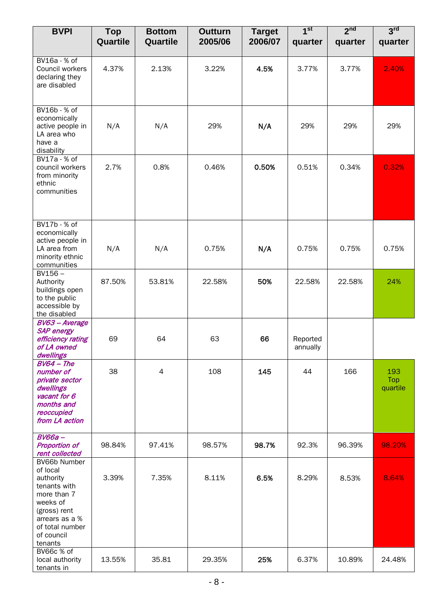| <b>BVPI</b>                                                                                                                                                    | <b>Top</b><br>Quartile | <b>Bottom</b><br>Quartile | <b>Outturn</b><br>2005/06 | <b>Target</b><br>2006/07 | 1 <sup>st</sup><br>quarter | 2 <sup>nd</sup><br>quarter | 3 <sup>rd</sup><br>quarter |
|----------------------------------------------------------------------------------------------------------------------------------------------------------------|------------------------|---------------------------|---------------------------|--------------------------|----------------------------|----------------------------|----------------------------|
|                                                                                                                                                                |                        |                           |                           |                          |                            |                            |                            |
| BV16a - % of<br>Council workers<br>declaring they<br>are disabled                                                                                              | 4.37%                  | 2.13%                     | 3.22%                     | 4.5%                     | 3.77%                      | 3.77%                      | 2.40%                      |
| BV16b - % of<br>economically<br>active people in<br>LA area who<br>have a<br>disability                                                                        | N/A                    | N/A                       | 29%                       | N/A                      | 29%                        | 29%                        | 29%                        |
| BV17a - % of<br>council workers<br>from minority<br>ethnic<br>communities                                                                                      | 2.7%                   | 0.8%                      | 0.46%                     | 0.50%                    | 0.51%                      | 0.34%                      | 0.32%                      |
| BV17b - % of<br>economically<br>active people in<br>LA area from<br>minority ethnic<br>communities                                                             | N/A                    | N/A                       | 0.75%                     | N/A                      | 0.75%                      | 0.75%                      | 0.75%                      |
| $BV156 -$<br>Authority<br>buildings open<br>to the public<br>accessible by<br>the disabled                                                                     | 87.50%                 | 53.81%                    | 22.58%                    | 50%                      | 22.58%                     | 22.58%                     | 24%                        |
| BV63 - Average<br><b>SAP</b> energy<br>efficiency rating<br>of LA owned<br>dwellings                                                                           | 69                     | 64                        | 63                        | 66                       | Reported<br>annually       |                            |                            |
| $BV64$ - The<br>number of<br>private sector<br>dwellings<br>vacant for 6<br>months and<br>reoccupied<br>from LA action                                         | 38                     | $\overline{\mathcal{A}}$  | 108                       | 145                      | 44                         | 166                        | 193<br>Top<br>quartile     |
| $BV66a$ -<br><b>Proportion of</b><br>rent collected                                                                                                            | 98.84%                 | 97.41%                    | 98.57%                    | 98.7%                    | 92.3%                      | 96.39%                     | 98.20%                     |
| BV66b Number<br>of local<br>authority<br>tenants with<br>more than 7<br>weeks of<br>(gross) rent<br>arrears as a %<br>of total number<br>of council<br>tenants | 3.39%                  | 7.35%                     | 8.11%                     | 6.5%                     | 8.29%                      | 8.53%                      | 8.64%                      |
| BV66c % of<br>local authority<br>tenants in                                                                                                                    | 13.55%                 | 35.81                     | 29.35%                    | 25%                      | 6.37%                      | 10.89%                     | 24.48%                     |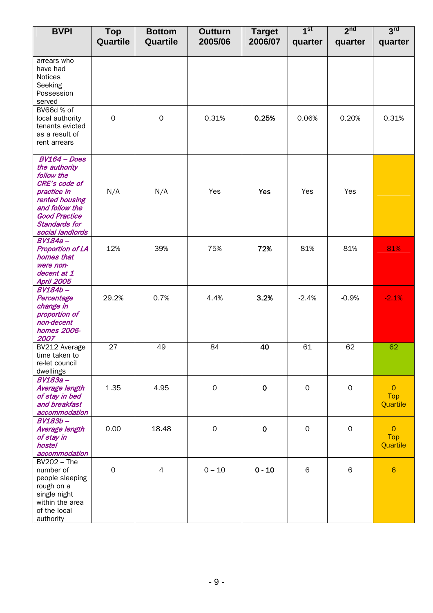| <b>BVPI</b>                                                                                                                                                                           | <b>Top</b><br>Quartile | <b>Bottom</b><br>Quartile | Outturn<br>2005/06  | <b>Target</b><br>2006/07 | 1 <sup>st</sup><br>quarter | 2 <sup>nd</sup><br>quarter | 3 <sup>rd</sup><br>quarter               |
|---------------------------------------------------------------------------------------------------------------------------------------------------------------------------------------|------------------------|---------------------------|---------------------|--------------------------|----------------------------|----------------------------|------------------------------------------|
|                                                                                                                                                                                       |                        |                           |                     |                          |                            |                            |                                          |
| arrears who<br>have had<br>Notices<br>Seeking<br>Possession<br>served                                                                                                                 |                        |                           |                     |                          |                            |                            |                                          |
| BV66d % of<br>local authority<br>tenants evicted<br>as a result of<br>rent arrears                                                                                                    | $\mathbf 0$            | $\mathbf 0$               | 0.31%               | 0.25%                    | 0.06%                      | 0.20%                      | 0.31%                                    |
| $BV164 - Does$<br>the authority<br>follow the<br>CRE's code of<br>practice in<br>rented housing<br>and follow the<br><b>Good Practice</b><br><b>Standards for</b><br>social landlords | N/A                    | N/A                       | Yes                 | Yes                      | Yes                        | Yes                        |                                          |
| <b>BV184a-</b><br><b>Proportion of LA</b><br>homes that<br>were non-<br>decent at 1<br><b>April 2005</b>                                                                              | 12%                    | 39%                       | 75%                 | 72%                      | 81%                        | 81%                        | 81%                                      |
| <b>BV184b-</b><br>Percentage<br>change in<br>proportion of<br>non-decent<br>homes 2006-<br>2007                                                                                       | 29.2%                  | 0.7%                      | 4.4%                | 3.2%                     | $-2.4%$                    | $-0.9%$                    | $-2.1%$                                  |
| BV212 Average<br>time taken to<br>re-let council<br>dwellings                                                                                                                         | 27                     | 49                        | 84                  | 40                       | 61                         | 62                         | 62                                       |
| <b>BV183a-</b><br><b>Average length</b><br>of stay in bed<br>and breakfast<br>accommodation                                                                                           | 1.35                   | 4.95                      | $\mathsf O$         | $\mathbf 0$              | $\mathsf{O}\xspace$        | $\mathbf 0$                | $\overline{O}$<br><b>Top</b><br>Quartile |
| BV183b-<br>Average length<br>of stay in<br>hostel<br>accommodation                                                                                                                    | 0.00                   | 18.48                     | $\mathsf{O}\xspace$ | $\mathbf 0$              | $\mathsf{O}\xspace$        | $\mathsf{O}\xspace$        | $\overline{O}$<br>Top<br>Quartile        |
| $BV202 - The$<br>number of<br>people sleeping<br>rough on a<br>single night<br>within the area<br>of the local<br>authority                                                           | $\mathbf 0$            | $\overline{4}$            | $0 - 10$            | $0 - 10$                 | 6                          | $\,$ 6                     | $6\phantom{1}6$                          |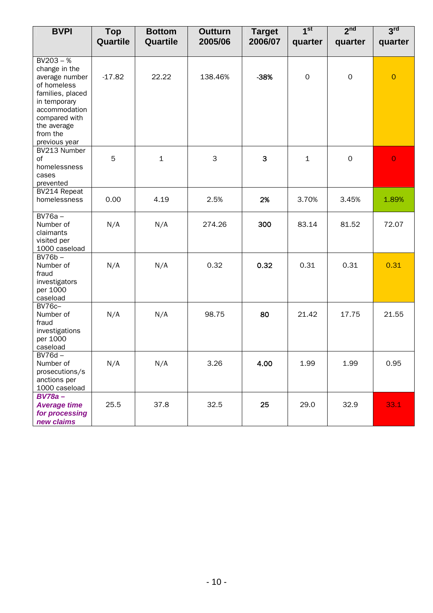| <b>BVPI</b>                                                                                                                                                                     | <b>Top</b> | <b>Bottom</b> | <b>Outturn</b> | <b>Target</b> | 1 <sup>st</sup> | 2 <sup>nd</sup> | 3 <sup>rd</sup> |
|---------------------------------------------------------------------------------------------------------------------------------------------------------------------------------|------------|---------------|----------------|---------------|-----------------|-----------------|-----------------|
|                                                                                                                                                                                 | Quartile   | Quartile      | 2005/06        | 2006/07       | quarter         | quarter         | quarter         |
| $BV203 - %$<br>change in the<br>average number<br>of homeless<br>families, placed<br>in temporary<br>accommodation<br>compared with<br>the average<br>from the<br>previous year | $-17.82$   | 22.22         | 138.46%        | $-38%$        | $\mathbf 0$     | $\mathsf O$     | $\overline{O}$  |
| BV213 Number<br>of<br>homelessness<br>cases<br>prevented                                                                                                                        | 5          | $\mathbf{1}$  | $\mathsf 3$    | 3             | $\mathbf{1}$    | $\mathbf{O}$    | $\overline{O}$  |
| BV214 Repeat<br>homelessness                                                                                                                                                    | 0.00       | 4.19          | 2.5%           | 2%            | 3.70%           | 3.45%           | 1.89%           |
| $BV76a -$<br>Number of<br>claimants<br>visited per<br>1000 caseload                                                                                                             | N/A        | N/A           | 274.26         | 300           | 83.14           | 81.52           | 72.07           |
| $BV76b -$<br>Number of<br>fraud<br>investigators<br>per 1000<br>caseload                                                                                                        | N/A        | N/A           | 0.32           | 0.32          | 0.31            | 0.31            | 0.31            |
| <b>BV76c-</b><br>Number of<br>fraud<br>investigations<br>per 1000<br>caseload                                                                                                   | N/A        | N/A           | 98.75          | 80            | 21.42           | 17.75           | 21.55           |
| $BV76d -$<br>Number of<br>prosecutions/s<br>anctions per<br>1000 caseload                                                                                                       | N/A        | N/A           | 3.26           | 4.00          | 1.99            | 1.99            | 0.95            |
| $BV78a -$<br><b>Average time</b><br>for processing<br>new claims                                                                                                                | 25.5       | 37.8          | 32.5           | 25            | 29.0            | 32.9            | 33.1            |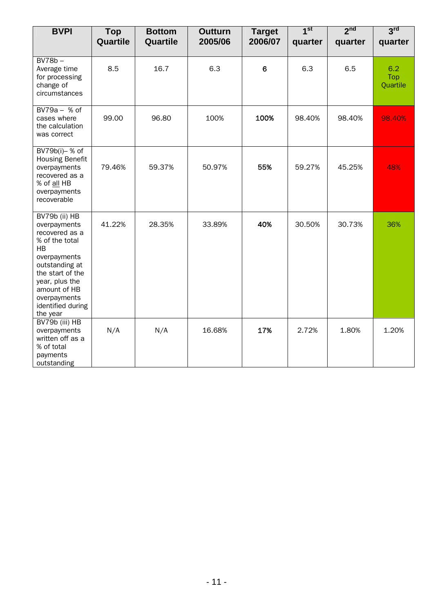| <b>BVPI</b>                                                                                                                                                                                                             | <b>Top</b><br>Quartile | <b>Bottom</b><br>Quartile | <b>Outturn</b><br>2005/06 | <b>Target</b><br>2006/07 | 1 <sup>st</sup><br>quarter | 2 <sub>nd</sub><br>quarter | 3 <sup>rd</sup><br>quarter |
|-------------------------------------------------------------------------------------------------------------------------------------------------------------------------------------------------------------------------|------------------------|---------------------------|---------------------------|--------------------------|----------------------------|----------------------------|----------------------------|
| $BV78b -$                                                                                                                                                                                                               |                        |                           |                           |                          |                            |                            |                            |
| Average time<br>for processing<br>change of<br>circumstances                                                                                                                                                            | 8.5                    | 16.7                      | 6.3                       | 6                        | 6.3                        | 6.5                        | 6.2<br>Top<br>Quartile     |
| $BV79a - % of$<br>cases where<br>the calculation<br>was correct                                                                                                                                                         | 99.00                  | 96.80                     | 100%                      | 100%                     | 98.40%                     | 98.40%                     | 98.40%                     |
| BV79b(i)- % of<br><b>Housing Benefit</b><br>overpayments<br>recovered as a<br>% of all HB<br>overpayments<br>recoverable                                                                                                | 79.46%                 | 59.37%                    | 50.97%                    | 55%                      | 59.27%                     | 45.25%                     | 48%                        |
| BV79b (ii) HB<br>overpayments<br>recovered as a<br>% of the total<br><b>HB</b><br>overpayments<br>outstanding at<br>the start of the<br>year, plus the<br>amount of HB<br>overpayments<br>identified during<br>the year | 41.22%                 | 28.35%                    | 33.89%                    | 40%                      | 30.50%                     | 30.73%                     | 36%                        |
| BV79b (iii) HB<br>overpayments<br>written off as a<br>% of total<br>payments<br>outstanding                                                                                                                             | N/A                    | N/A                       | 16.68%                    | 17%                      | 2.72%                      | 1.80%                      | 1.20%                      |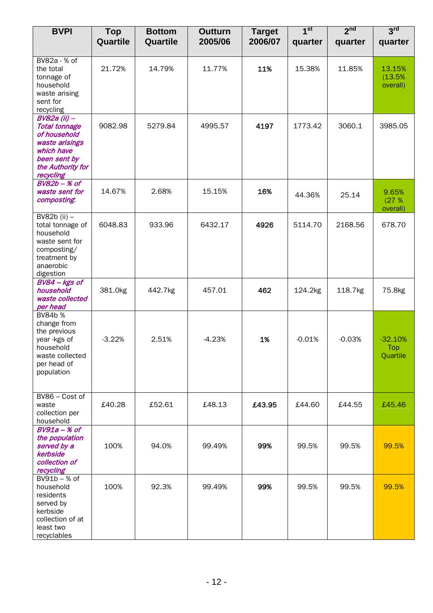| <b>BVPI</b>                                                                                                                            | <b>Top</b><br>Quartile | <b>Bottom</b><br>Quartile | Outturn<br>2005/06 | <b>Target</b><br>2006/07 | 1 <sup>st</sup><br>quarter | 2 <sup>nd</sup><br>quarter | 3 <sup>rd</sup><br>quarter          |
|----------------------------------------------------------------------------------------------------------------------------------------|------------------------|---------------------------|--------------------|--------------------------|----------------------------|----------------------------|-------------------------------------|
|                                                                                                                                        |                        |                           |                    |                          |                            |                            |                                     |
| BV82a - % of<br>the total<br>tonnage of<br>household<br>waste arising<br>sent for<br>recycling                                         | 21.72%                 | 14.79%                    | 11.77%             | 11%                      | 15.38%                     | 11.85%                     | 13.15%<br>(13.5%<br>overall)        |
| BV82a (ii) -<br><b>Total tonnage</b><br>of household<br>waste arisings<br>which have<br>been sent by<br>the Authority for<br>recycling | 9082.98                | 5279.84                   | 4995.57            | 4197                     | 1773.42                    | 3060.1                     | 3985.05                             |
| $BV82b - % of$<br>waste sent for<br>composting                                                                                         | 14.67%                 | 2.68%                     | 15.15%             | 16%                      | 44.36%                     | 25.14                      | 9.65%<br>(27%<br>overall)           |
| BV82b (ii) $-$<br>total tonnage of<br>household<br>waste sent for<br>composting/<br>treatment by<br>anaerobic<br>digestion             | 6048.83                | 933.96                    | 6432.17            | 4926                     | 5114.70                    | 2168.56                    | 678.70                              |
| BV84 - kgs of<br>household<br>waste collected<br>per head                                                                              | 381.0kg                | 442.7kg                   | 457.01             | 462                      | 124.2kg                    | 118.7kg                    | 75.8kg                              |
| BV84b %<br>change from<br>the previous<br>year -kgs of<br>household<br>waste collected<br>per head of<br>population                    | $-3.22%$               | 2.51%                     | $-4.23%$           | 1%                       | $-0.01%$                   | $-0.03%$                   | $-32.10%$<br><b>Top</b><br>Quartile |
| BV86 - Cost of<br>waste<br>collection per<br>household                                                                                 | £40.28                 | £52.61                    | £48.13             | £43.95                   | £44.60                     | £44.55                     | £45.46                              |
| $BV91a - K$ of<br>the population<br>served by a<br>kerbside<br>collection of<br>recycling                                              | 100%                   | 94.0%                     | 99.49%             | 99%                      | 99.5%                      | 99.5%                      | 99.5%                               |
| $BV91b - % of$<br>household<br>residents<br>served by<br>kerbside<br>collection of at<br>least two<br>recyclables                      | 100%                   | 92.3%                     | 99.49%             | 99%                      | 99.5%                      | 99.5%                      | 99.5%                               |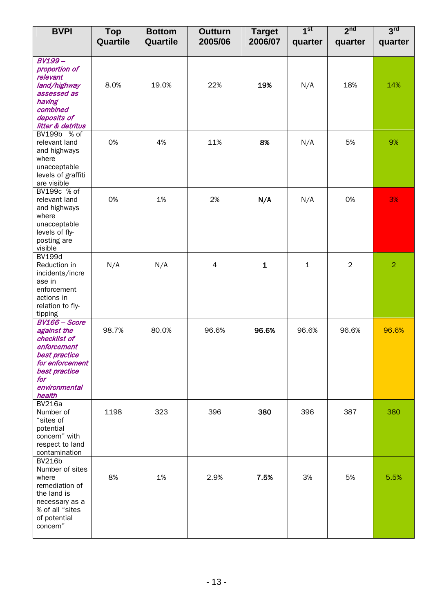| <b>BVPI</b>                                                                                                                                               | <b>Top</b><br>Quartile | <b>Bottom</b><br>Quartile | <b>Outturn</b><br>2005/06 | <b>Target</b><br>2006/07 | 1 <sup>st</sup><br>quarter | 2 <sup>nd</sup><br>quarter | 3 <sup>rd</sup><br>quarter |
|-----------------------------------------------------------------------------------------------------------------------------------------------------------|------------------------|---------------------------|---------------------------|--------------------------|----------------------------|----------------------------|----------------------------|
|                                                                                                                                                           |                        |                           |                           |                          |                            |                            |                            |
| <b>BV199-</b><br>proportion of<br>relevant<br>land/highway<br>assessed as<br>having<br>combined<br>deposits of<br>litter & detritus                       | 8.0%                   | 19.0%                     | 22%                       | 19%                      | N/A                        | 18%                        | 14%                        |
| BV199b % of<br>relevant land<br>and highways<br>where<br>unacceptable<br>levels of graffiti<br>are visible                                                | 0%                     | 4%                        | 11%                       | 8%                       | N/A                        | 5%                         | 9%                         |
| BV199c % of<br>relevant land<br>and highways<br>where<br>unacceptable<br>levels of fly-<br>posting are<br>visible                                         | 0%                     | 1%                        | 2%                        | N/A                      | N/A                        | 0%                         | 3%                         |
| <b>BV199d</b><br>Reduction in<br>incidents/incre<br>ase in<br>enforcement<br>actions in<br>relation to fly-<br>tipping                                    | N/A                    | N/A                       | 4                         | $\mathbf{1}$             | $\mathbf{1}$               | 2                          | $\overline{2}$             |
| <b>BV166 - Score</b><br>against the<br>checklist of<br>enforcement<br>best practice<br>for enforcement<br>best practice<br>for<br>environmental<br>health | 98.7%                  | 80.0%                     | 96.6%                     | 96.6%                    | 96.6%                      | 96.6%                      | 96.6%                      |
| <b>BV216a</b><br>Number of<br>"sites of<br>potential<br>concern" with<br>respect to land<br>contamination                                                 | 1198                   | 323                       | 396                       | 380                      | 396                        | 387                        | 380                        |
| <b>BV216b</b><br>Number of sites<br>where<br>remediation of<br>the land is<br>necessary as a<br>% of all "sites<br>of potential<br>concern"               | 8%                     | 1%                        | 2.9%                      | 7.5%                     | 3%                         | 5%                         | 5.5%                       |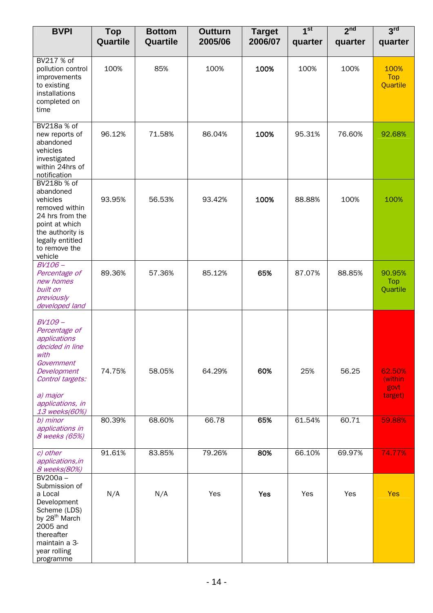| <b>BVPI</b>                                                                                                                                                             | <b>Top</b><br>Quartile | <b>Bottom</b><br>Quartile | <b>Outturn</b><br>2005/06 | <b>Target</b><br>2006/07 | 1 <sup>st</sup><br>quarter | 2 <sup>nd</sup><br>quarter | 3 <sup>rd</sup><br>quarter           |
|-------------------------------------------------------------------------------------------------------------------------------------------------------------------------|------------------------|---------------------------|---------------------------|--------------------------|----------------------------|----------------------------|--------------------------------------|
|                                                                                                                                                                         |                        |                           |                           |                          |                            |                            |                                      |
| BV217 % of<br>pollution control<br>improvements<br>to existing<br>installations<br>completed on<br>time                                                                 | 100%                   | 85%                       | 100%                      | 100%                     | 100%                       | 100%                       | 100%<br>Top<br>Quartile              |
| BV218a % of<br>new reports of<br>abandoned<br>vehicles<br>investigated<br>within 24hrs of<br>notification                                                               | 96.12%                 | 71.58%                    | 86.04%                    | 100%                     | 95.31%                     | 76.60%                     | 92.68%                               |
| BV218b % of<br>abandoned<br>vehicles<br>removed within<br>24 hrs from the<br>point at which<br>the authority is<br>legally entitled<br>to remove the<br>vehicle         | 93.95%                 | 56.53%                    | 93.42%                    | 100%                     | 88.88%                     | 100%                       | 100%                                 |
| $BV106-$<br>Percentage of<br>new homes<br>built on<br>previously<br>developed land                                                                                      | 89.36%                 | 57.36%                    | 85.12%                    | 65%                      | 87.07%                     | 88.85%                     | 90.95%<br>Top<br>Quartile            |
| BV109-<br>Percentage of<br>applications<br>decided in line<br>with<br>Government<br>Development<br>Control targets:<br>a) major<br>applications, in<br>13 weeks(60%)    | 74.75%                 | 58.05%                    | 64.29%                    | 60%                      | 25%                        | 56.25                      | 62.50%<br>(within<br>govt<br>target) |
| b) minor<br>applications in<br>8 weeks (65%)                                                                                                                            | 80.39%                 | 68.60%                    | 66.78                     | 65%                      | 61.54%                     | 60.71                      | 59.88%                               |
| c) other<br>applications, in<br>8 weeks(80%)                                                                                                                            | 91.61%                 | 83.85%                    | 79.26%                    | 80%                      | 66.10%                     | 69.97%                     | 74.77%                               |
| BV200a-<br>Submission of<br>a Local<br>Development<br>Scheme (LDS)<br>by 28 <sup>th</sup> March<br>2005 and<br>thereafter<br>maintain a 3-<br>year rolling<br>programme | N/A                    | N/A                       | Yes                       | Yes                      | Yes                        | Yes                        | <b>Yes</b>                           |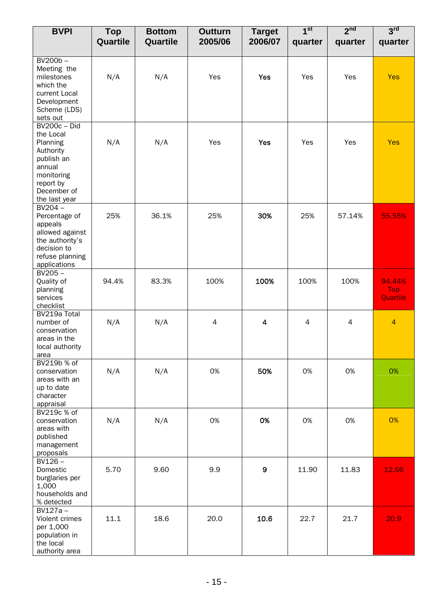| <b>BVPI</b>                                                                                                                                  | <b>Top</b><br>Quartile | <b>Bottom</b><br>Quartile | <b>Outturn</b><br>2005/06 | <b>Target</b><br>2006/07 | 1 <sup>st</sup><br>quarter | 2 <sup>nd</sup><br>quarter | 3 <sup>rd</sup><br>quarter |
|----------------------------------------------------------------------------------------------------------------------------------------------|------------------------|---------------------------|---------------------------|--------------------------|----------------------------|----------------------------|----------------------------|
|                                                                                                                                              |                        |                           |                           |                          |                            |                            |                            |
| BV200b-<br>Meeting the<br>milestones<br>which the<br>current Local<br>Development<br>Scheme (LDS)<br>sets out                                | N/A                    | N/A                       | Yes                       | <b>Yes</b>               | Yes                        | Yes                        | <b>Yes</b>                 |
| <b>BV200c - Did</b><br>the Local<br>Planning<br>Authority<br>publish an<br>annual<br>monitoring<br>report by<br>December of<br>the last year | N/A                    | N/A                       | Yes                       | <b>Yes</b>               | Yes                        | Yes                        | <b>Yes</b>                 |
| $BV204 -$<br>Percentage of<br>appeals<br>allowed against<br>the authority's<br>decision to<br>refuse planning<br>applications                | 25%                    | 36.1%                     | 25%                       | 30%                      | 25%                        | 57.14%                     | 55.55%                     |
| $BV205 -$<br>Quality of<br>planning<br>services<br>checklist                                                                                 | 94.4%                  | 83.3%                     | 100%                      | 100%                     | 100%                       | 100%                       | 94.44%<br>Top<br>Quartile  |
| BV219a Total<br>number of<br>conservation<br>areas in the<br>local authority<br>area                                                         | N/A                    | N/A                       | $\overline{4}$            | $\overline{\mathbf{4}}$  | 4                          | $\overline{4}$             | $\overline{4}$             |
| BV219b % of<br>conservation<br>areas with an<br>up to date<br>character<br>appraisal                                                         | N/A                    | N/A                       | 0%                        | 50%                      | 0%                         | 0%                         | 0%                         |
| BV219c % of<br>conservation<br>areas with<br>published<br>management<br>proposals                                                            | N/A                    | N/A                       | 0%                        | 0%                       | 0%                         | 0%                         | 0%                         |
| $BV126 -$<br>Domestic<br>burglaries per<br>1,000<br>households and<br>% detected                                                             | 5.70                   | 9.60                      | 9.9                       | 9                        | 11.90                      | 11.83                      | 12.66                      |
| $BV127a -$<br>Violent crimes<br>per 1,000<br>population in<br>the local<br>authority area                                                    | 11.1                   | 18.6                      | 20.0                      | 10.6                     | 22.7                       | 21.7                       | 20.9                       |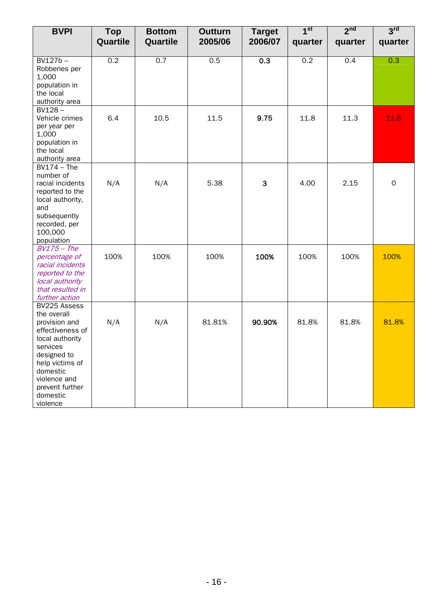| <b>BVPI</b>                         | <b>Top</b> | <b>Bottom</b> | <b>Outturn</b> | <b>Target</b> | 1 <sup>st</sup> | 2 <sup>nd</sup> | 3 <sup>rd</sup> |
|-------------------------------------|------------|---------------|----------------|---------------|-----------------|-----------------|-----------------|
|                                     | Quartile   | Quartile      | 2005/06        | 2006/07       | quarter         | quarter         | quarter         |
|                                     |            |               |                |               |                 |                 |                 |
| $BV127b -$                          | 0.2        | 0.7           | 0.5            | 0.3           | 0.2             | 0.4             | 0.3             |
| Robberies per                       |            |               |                |               |                 |                 |                 |
| 1,000<br>population in              |            |               |                |               |                 |                 |                 |
| the local                           |            |               |                |               |                 |                 |                 |
| authority area                      |            |               |                |               |                 |                 |                 |
| $BV128 -$                           |            |               |                |               |                 |                 |                 |
| Vehicle crimes                      | 6.4        | 10.5          | 11.5           | 9.75          | 11.8            | 11.3            | 11.6            |
| per year per                        |            |               |                |               |                 |                 |                 |
| 1,000                               |            |               |                |               |                 |                 |                 |
| population in<br>the local          |            |               |                |               |                 |                 |                 |
| authority area                      |            |               |                |               |                 |                 |                 |
| $BV174 - The$                       |            |               |                |               |                 |                 |                 |
| number of                           |            |               |                |               |                 |                 |                 |
| racial incidents                    | N/A        | N/A           | 5.38           | 3             | 4.00            | 2.15            | $\mathbf{O}$    |
| reported to the                     |            |               |                |               |                 |                 |                 |
| local authority,                    |            |               |                |               |                 |                 |                 |
| and<br>subsequently                 |            |               |                |               |                 |                 |                 |
| recorded, per                       |            |               |                |               |                 |                 |                 |
| 100,000                             |            |               |                |               |                 |                 |                 |
| population                          |            |               |                |               |                 |                 |                 |
| $BV175$ - The                       |            |               |                |               |                 |                 |                 |
| percentage of                       | 100%       | 100%          | 100%           | 100%          | 100%            | 100%            | 100%            |
| racial incidents<br>reported to the |            |               |                |               |                 |                 |                 |
| local authority                     |            |               |                |               |                 |                 |                 |
| that resulted in                    |            |               |                |               |                 |                 |                 |
| further action                      |            |               |                |               |                 |                 |                 |
| BV225 Assess                        |            |               |                |               |                 |                 |                 |
| the overall                         |            |               |                |               |                 |                 |                 |
| provision and                       | N/A        | N/A           | 81.81%         | 90.90%        | 81.8%           | 81.8%           | 81.8%           |
| effectiveness of<br>local authority |            |               |                |               |                 |                 |                 |
| services                            |            |               |                |               |                 |                 |                 |
| designed to                         |            |               |                |               |                 |                 |                 |
| help victims of                     |            |               |                |               |                 |                 |                 |
| domestic                            |            |               |                |               |                 |                 |                 |
| violence and                        |            |               |                |               |                 |                 |                 |
| prevent further                     |            |               |                |               |                 |                 |                 |
| domestic<br>violence                |            |               |                |               |                 |                 |                 |
|                                     |            |               |                |               |                 |                 |                 |